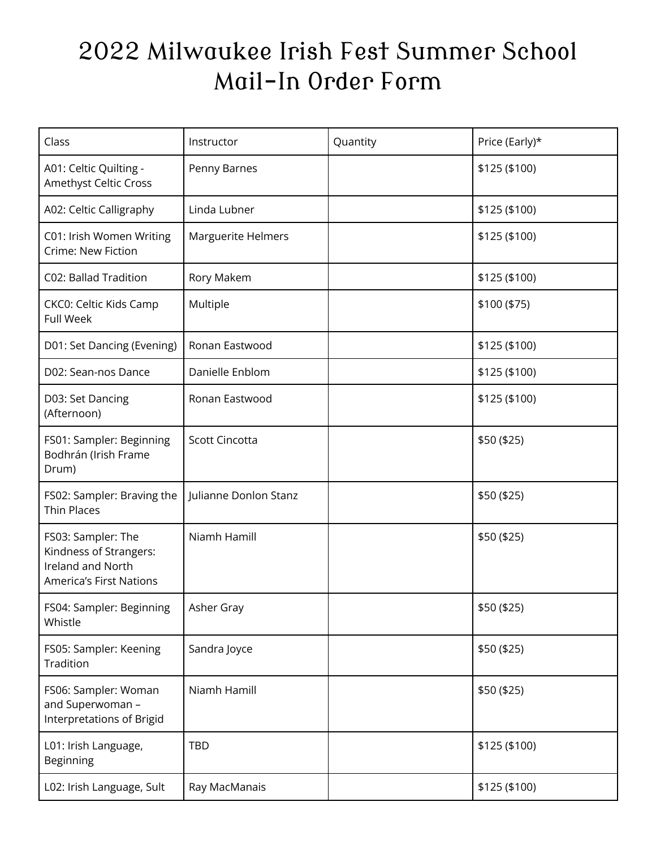## 2022 Milwaukee Irish Fest Summer School Mail-In Order Form

| Class                                                                                        | Instructor                | Quantity | Price (Early)* |
|----------------------------------------------------------------------------------------------|---------------------------|----------|----------------|
| A01: Celtic Quilting -<br>Amethyst Celtic Cross                                              | Penny Barnes              |          | \$125 (\$100)  |
| A02: Celtic Calligraphy                                                                      | Linda Lubner              |          | \$125 (\$100)  |
| C01: Irish Women Writing<br>Crime: New Fiction                                               | <b>Marguerite Helmers</b> |          | \$125 (\$100)  |
| C02: Ballad Tradition                                                                        | Rory Makem                |          | \$125 (\$100)  |
| CKC0: Celtic Kids Camp<br><b>Full Week</b>                                                   | Multiple                  |          | \$100 (\$75)   |
| D01: Set Dancing (Evening)                                                                   | Ronan Eastwood            |          | \$125 (\$100)  |
| D02: Sean-nos Dance                                                                          | Danielle Enblom           |          | \$125 (\$100)  |
| D03: Set Dancing<br>(Afternoon)                                                              | Ronan Eastwood            |          | \$125 (\$100)  |
| FS01: Sampler: Beginning<br>Bodhrán (Irish Frame<br>Drum)                                    | <b>Scott Cincotta</b>     |          | \$50 (\$25)    |
| FS02: Sampler: Braving the<br><b>Thin Places</b>                                             | Julianne Donlon Stanz     |          | \$50 (\$25)    |
| FS03: Sampler: The<br>Kindness of Strangers:<br>Ireland and North<br>America's First Nations | Niamh Hamill              |          | \$50 (\$25)    |
| FS04: Sampler: Beginning<br>Whistle                                                          | Asher Gray                |          | \$50 (\$25)    |
| FS05: Sampler: Keening<br>Tradition                                                          | Sandra Joyce              |          | \$50 (\$25)    |
| FS06: Sampler: Woman<br>and Superwoman -<br>Interpretations of Brigid                        | Niamh Hamill              |          | \$50 (\$25)    |
| L01: Irish Language,<br>Beginning                                                            | <b>TBD</b>                |          | \$125 (\$100)  |
| L02: Irish Language, Sult                                                                    | Ray MacManais             |          | \$125 (\$100)  |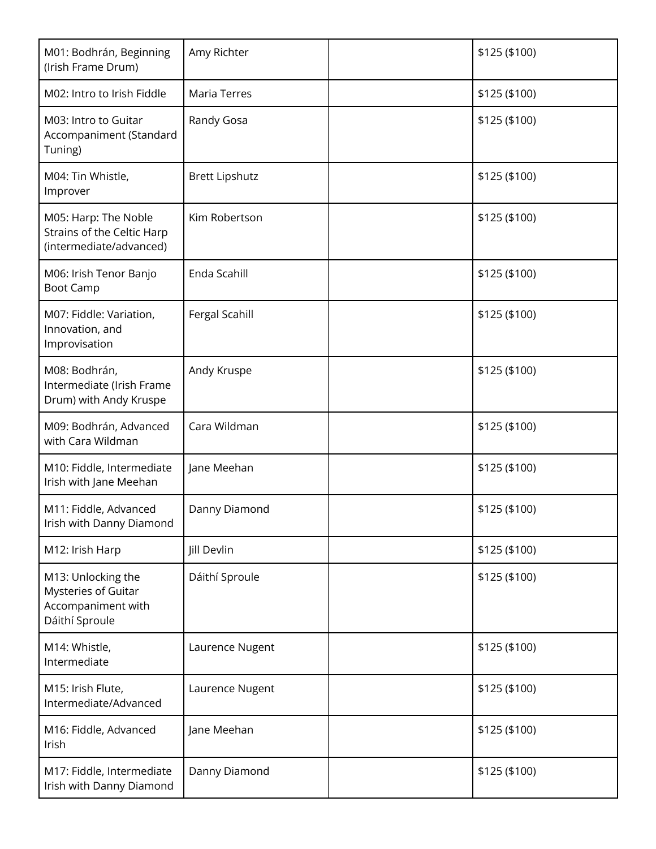| M01: Bodhrán, Beginning<br>(Irish Frame Drum)                                     | Amy Richter           | \$125 (\$100) |
|-----------------------------------------------------------------------------------|-----------------------|---------------|
| M02: Intro to Irish Fiddle                                                        | Maria Terres          | \$125 (\$100) |
| M03: Intro to Guitar<br>Accompaniment (Standard<br>Tuning)                        | Randy Gosa            | \$125 (\$100) |
| M04: Tin Whistle,<br>Improver                                                     | <b>Brett Lipshutz</b> | \$125 (\$100) |
| M05: Harp: The Noble<br>Strains of the Celtic Harp<br>(intermediate/advanced)     | Kim Robertson         | \$125 (\$100) |
| M06: Irish Tenor Banjo<br><b>Boot Camp</b>                                        | Enda Scahill          | \$125 (\$100) |
| M07: Fiddle: Variation,<br>Innovation, and<br>Improvisation                       | Fergal Scahill        | \$125 (\$100) |
| M08: Bodhrán,<br>Intermediate (Irish Frame<br>Drum) with Andy Kruspe              | Andy Kruspe           | \$125 (\$100) |
| M09: Bodhrán, Advanced<br>with Cara Wildman                                       | Cara Wildman          | \$125 (\$100) |
| M10: Fiddle, Intermediate<br>Irish with Jane Meehan                               | Jane Meehan           | \$125 (\$100) |
| M11: Fiddle, Advanced<br>Irish with Danny Diamond                                 | Danny Diamond         | \$125 (\$100) |
| M12: Irish Harp                                                                   | Jill Devlin           | \$125 (\$100) |
| M13: Unlocking the<br>Mysteries of Guitar<br>Accompaniment with<br>Dáithí Sproule | Dáithí Sproule        | \$125 (\$100) |
| M14: Whistle,<br>Intermediate                                                     | Laurence Nugent       | \$125 (\$100) |
| M15: Irish Flute,<br>Intermediate/Advanced                                        | Laurence Nugent       | \$125 (\$100) |
| M16: Fiddle, Advanced<br>Irish                                                    | Jane Meehan           | \$125 (\$100) |
| M17: Fiddle, Intermediate<br>Irish with Danny Diamond                             | Danny Diamond         | \$125 (\$100) |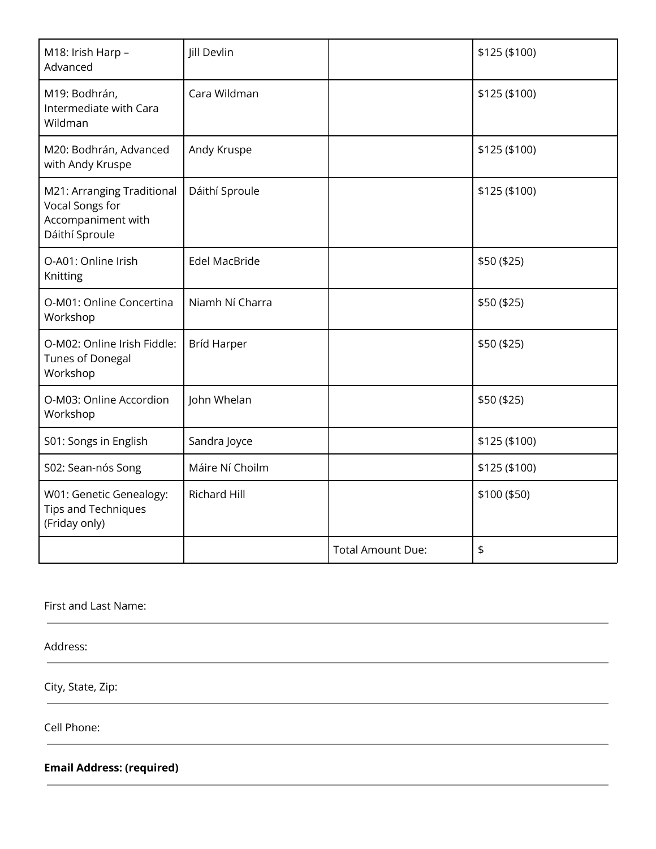| M18: Irish Harp -<br>Advanced                                                         | Jill Devlin          |                          | \$125 (\$100) |
|---------------------------------------------------------------------------------------|----------------------|--------------------------|---------------|
| M19: Bodhrán,<br>Intermediate with Cara<br>Wildman                                    | Cara Wildman         |                          | \$125 (\$100) |
| M20: Bodhrán, Advanced<br>with Andy Kruspe                                            | Andy Kruspe          |                          | \$125 (\$100) |
| M21: Arranging Traditional<br>Vocal Songs for<br>Accompaniment with<br>Dáithí Sproule | Dáithí Sproule       |                          | \$125 (\$100) |
| O-A01: Online Irish<br>Knitting                                                       | <b>Edel MacBride</b> |                          | \$50 (\$25)   |
| O-M01: Online Concertina<br>Workshop                                                  | Niamh Ní Charra      |                          | \$50 (\$25)   |
| O-M02: Online Irish Fiddle:<br><b>Tunes of Donegal</b><br>Workshop                    | <b>Bríd Harper</b>   |                          | \$50 (\$25)   |
| O-M03: Online Accordion<br>Workshop                                                   | John Whelan          |                          | \$50 (\$25)   |
| S01: Songs in English                                                                 | Sandra Joyce         |                          | \$125 (\$100) |
| S02: Sean-nós Song                                                                    | Máire Ní Choilm      |                          | \$125 (\$100) |
| W01: Genetic Genealogy:<br><b>Tips and Techniques</b><br>(Friday only)                | <b>Richard Hill</b>  |                          | \$100 (\$50)  |
|                                                                                       |                      | <b>Total Amount Due:</b> | \$            |

First and Last Name:

Address:

City, State, Zip:

Cell Phone:

**Email Address: (required)**